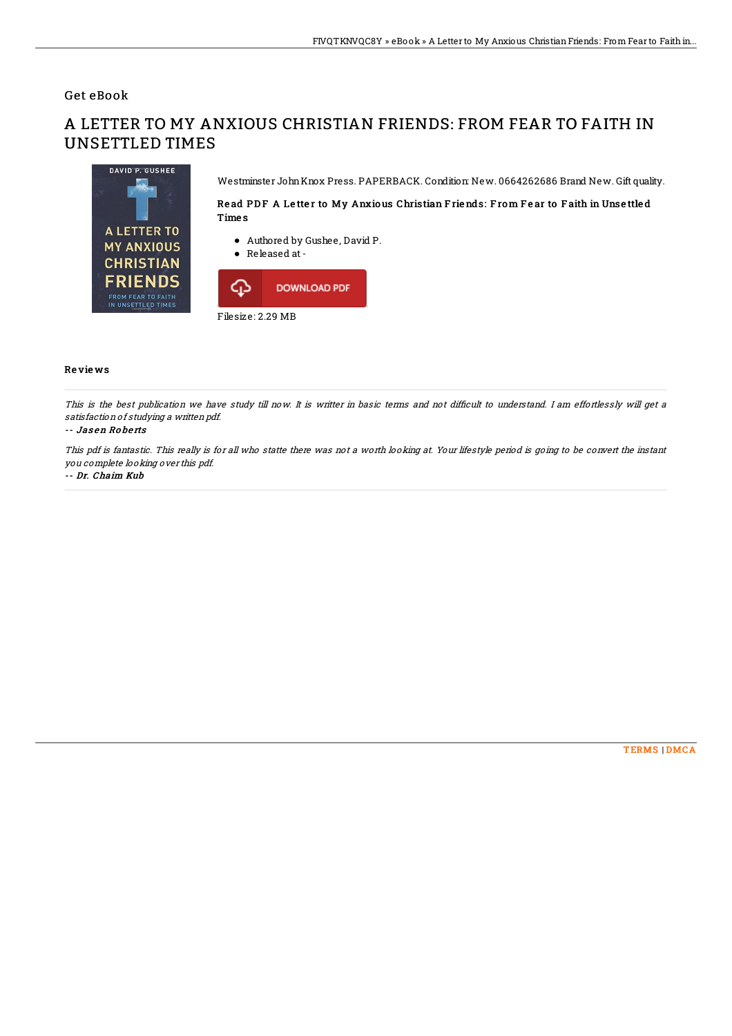## Get eBook

# A LETTER TO MY ANXIOUS CHRISTIAN FRIENDS: FROM FEAR TO FAITH IN UNSETTLED TIMES



Westminster JohnKnox Press. PAPERBACK. Condition: New. 0664262686 Brand New. Gift quality.

### Read PDF A Letter to My Anxious Christian Friends: From Fear to Faith in Unsettled Time s

- Authored by Gushee, David P.
- Released at-



### Re vie ws

This is the best publication we have study till now. It is writter in basic terms and not difficult to understand. I am effortlessly will get a satisfaction of studying <sup>a</sup> written pdf.

#### -- Jas en Ro be rts

This pdf is fantastic. This really is for all who statte there was not <sup>a</sup> worth looking at. Your lifestyle period is going to be convert the instant you complete looking over this pdf.

#### -- Dr. Chaim Kub